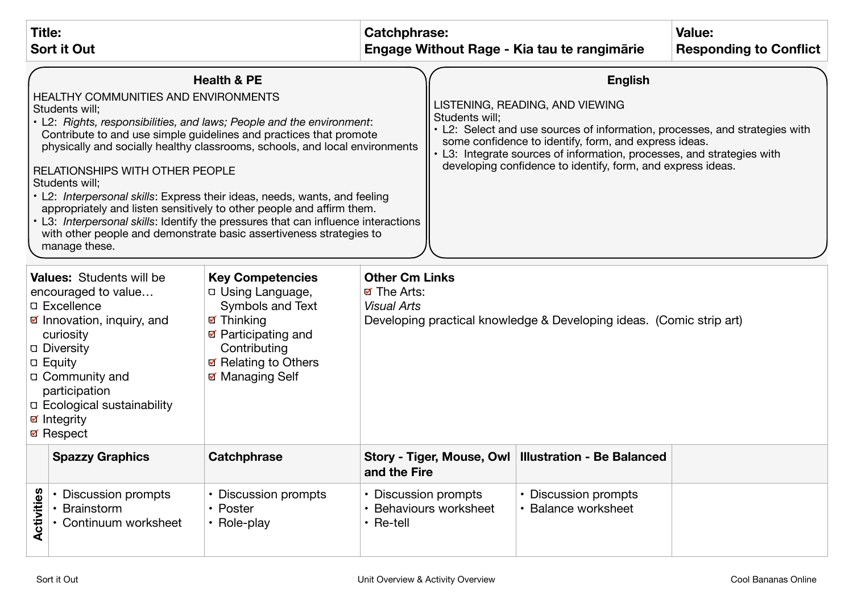| <b>Title:</b><br><b>Sort it Out</b>                                                                                                                                                                                                                                                                                                                                                                                                                                                                                                                                                                                                                                                                                    |                                                                  |                                                                                                                                           | Catchphrase:<br>Engage Without Rage - Kia tau te rangimarie |                                                                                                                                                                                                                                                                                                                                                      | <b>Value:</b><br><b>Responding to Conflict</b>         |  |
|------------------------------------------------------------------------------------------------------------------------------------------------------------------------------------------------------------------------------------------------------------------------------------------------------------------------------------------------------------------------------------------------------------------------------------------------------------------------------------------------------------------------------------------------------------------------------------------------------------------------------------------------------------------------------------------------------------------------|------------------------------------------------------------------|-------------------------------------------------------------------------------------------------------------------------------------------|-------------------------------------------------------------|------------------------------------------------------------------------------------------------------------------------------------------------------------------------------------------------------------------------------------------------------------------------------------------------------------------------------------------------------|--------------------------------------------------------|--|
| <b>Health &amp; PE</b><br><b>HEALTHY COMMUNITIES AND ENVIRONMENTS</b><br>Students will;<br>• L2: Rights, responsibilities, and laws; People and the environment:<br>Contribute to and use simple guidelines and practices that promote<br>physically and socially healthy classrooms, schools, and local environments<br><b>RELATIONSHIPS WITH OTHER PEOPLE</b><br>Students will;<br>• L2: Interpersonal skills: Express their ideas, needs, wants, and feeling<br>appropriately and listen sensitively to other people and affirm them.<br>• L3: Interpersonal skills: Identify the pressures that can influence interactions<br>with other people and demonstrate basic assertiveness strategies to<br>manage these. |                                                                  |                                                                                                                                           |                                                             | <b>English</b><br>LISTENING, READING, AND VIEWING<br>Students will;<br>• L2: Select and use sources of information, processes, and strategies with<br>some confidence to identify, form, and express ideas.<br>• L3: Integrate sources of information, processes, and strategies with<br>developing confidence to identify, form, and express ideas. |                                                        |  |
| <b>Key Competencies</b><br><b>Values:</b> Students will be<br>D Using Language,<br>encouraged to value<br>Symbols and Text<br><b>D</b> Excellence<br><b>ø</b> Thinking<br>☑ Innovation, inquiry, and<br>☑ Participating and<br>curiosity<br>□ Diversity<br>Contributing<br>☑ Relating to Others<br><b>D</b> Equity<br>☑ Managing Self<br>□ Community and<br>participation<br>□ Ecological sustainability<br><b>ø</b> Integrity<br><b>⊠</b> Respect                                                                                                                                                                                                                                                                     |                                                                  | <b>Other Cm Links</b><br><b>ø</b> The Arts:<br><b>Visual Arts</b><br>Developing practical knowledge & Developing ideas. (Comic strip art) |                                                             |                                                                                                                                                                                                                                                                                                                                                      |                                                        |  |
|                                                                                                                                                                                                                                                                                                                                                                                                                                                                                                                                                                                                                                                                                                                        | <b>Spazzy Graphics</b>                                           | Catchphrase                                                                                                                               | and the Fire                                                |                                                                                                                                                                                                                                                                                                                                                      | Story - Tiger, Mouse, Owl   Illustration - Be Balanced |  |
| Activities                                                                                                                                                                                                                                                                                                                                                                                                                                                                                                                                                                                                                                                                                                             | • Discussion prompts<br><b>Brainstorm</b><br>Continuum worksheet | • Discussion prompts<br>• Poster<br>• Role-play                                                                                           | • Discussion prompts<br>$\cdot$ Re-tell                     | <b>Behaviours worksheet</b>                                                                                                                                                                                                                                                                                                                          | • Discussion prompts<br>· Balance worksheet            |  |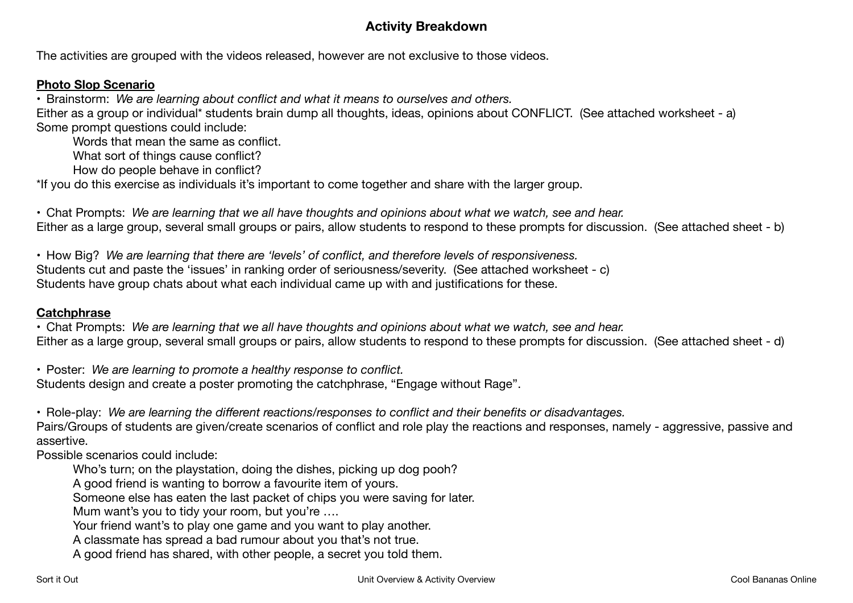# **Activity Breakdown**

The activities are grouped with the videos released, however are not exclusive to those videos.

#### **Photo Slop Scenario**

• Brainstorm: *We are learning about conflict and what it means to ourselves and others.*

Either as a group or individual\* students brain dump all thoughts, ideas, opinions about CONFLICT. (See attached worksheet - a) Some prompt questions could include:

Words that mean the same as conflict.

What sort of things cause conflict?

How do people behave in conflict?

\*If you do this exercise as individuals it's important to come together and share with the larger group.

• Chat Prompts: *We are learning that we all have thoughts and opinions about what we watch, see and hear.*  Either as a large group, several small groups or pairs, allow students to respond to these prompts for discussion. (See attached sheet - b)

• How Big? *We are learning that there are 'levels' of conflict, and therefore levels of responsiveness.*  Students cut and paste the 'issues' in ranking order of seriousness/severity. (See attached worksheet - c) Students have group chats about what each individual came up with and justifications for these.

#### **Catchphrase**

• Chat Prompts: *We are learning that we all have thoughts and opinions about what we watch, see and hear.*  Either as a large group, several small groups or pairs, allow students to respond to these prompts for discussion. (See attached sheet - d)

• Poster: *We are learning to promote a healthy response to conflict.*  Students design and create a poster promoting the catchphrase, "Engage without Rage".

• Role-play: *We are learning the different reactions/responses to conflict and their benefits or disadvantages.* 

Pairs/Groups of students are given/create scenarios of conflict and role play the reactions and responses, namely - aggressive, passive and assertive.

Possible scenarios could include:

Who's turn; on the playstation, doing the dishes, picking up dog pooh?

A good friend is wanting to borrow a favourite item of yours.

Someone else has eaten the last packet of chips you were saving for later.

Mum want's you to tidy your room, but you're ....

Your friend want's to play one game and you want to play another.

A classmate has spread a bad rumour about you that's not true.

A good friend has shared, with other people, a secret you told them.